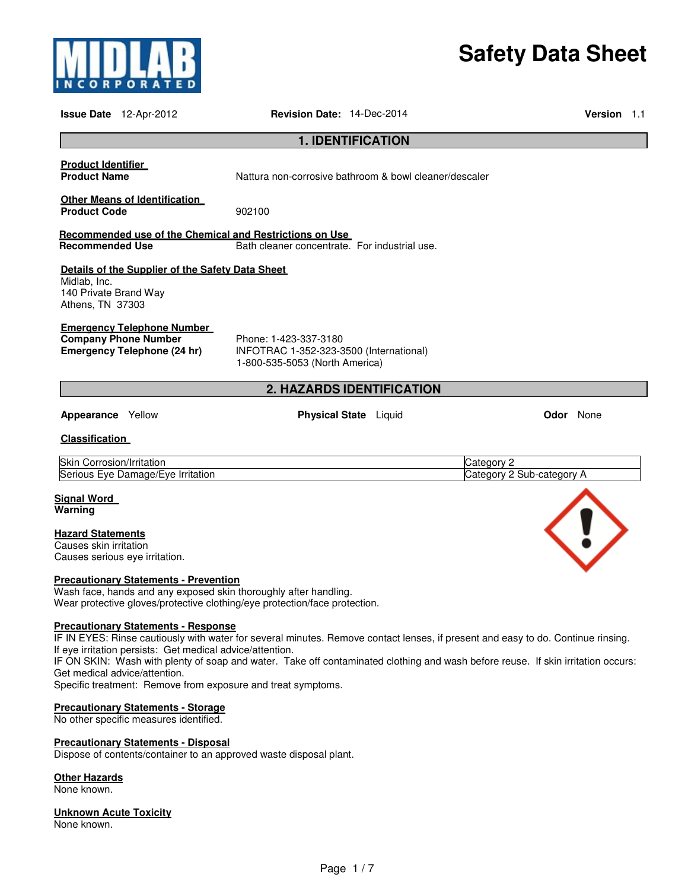

# **Safety Data Sheet**

|                                                                                                                                                                                                                                              | <b>Issue Date</b> 12-Apr-2012                                                                                                                                                                         | <b>Revision Date: 14-Dec-2014</b>                                                                        |                                                        |                                         | Version 1.1 |  |
|----------------------------------------------------------------------------------------------------------------------------------------------------------------------------------------------------------------------------------------------|-------------------------------------------------------------------------------------------------------------------------------------------------------------------------------------------------------|----------------------------------------------------------------------------------------------------------|--------------------------------------------------------|-----------------------------------------|-------------|--|
|                                                                                                                                                                                                                                              |                                                                                                                                                                                                       |                                                                                                          | <b>1. IDENTIFICATION</b>                               |                                         |             |  |
| <b>Product Identifier</b><br><b>Product Name</b>                                                                                                                                                                                             |                                                                                                                                                                                                       |                                                                                                          | Nattura non-corrosive bathroom & bowl cleaner/descaler |                                         |             |  |
| <b>Product Code</b>                                                                                                                                                                                                                          | <b>Other Means of Identification</b>                                                                                                                                                                  | 902100                                                                                                   |                                                        |                                         |             |  |
| <b>Recommended Use</b>                                                                                                                                                                                                                       |                                                                                                                                                                                                       | Recommended use of the Chemical and Restrictions on Use<br>Bath cleaner concentrate. For industrial use. |                                                        |                                         |             |  |
| Midlab, Inc.<br>140 Private Brand Way<br>Athens, TN 37303                                                                                                                                                                                    | Details of the Supplier of the Safety Data Sheet                                                                                                                                                      |                                                                                                          |                                                        |                                         |             |  |
|                                                                                                                                                                                                                                              | <b>Emergency Telephone Number</b><br><b>Company Phone Number</b><br>Phone: 1-423-337-3180<br>Emergency Telephone (24 hr)<br>INFOTRAC 1-352-323-3500 (International)<br>1-800-535-5053 (North America) |                                                                                                          |                                                        |                                         |             |  |
|                                                                                                                                                                                                                                              |                                                                                                                                                                                                       |                                                                                                          | 2. HAZARDS IDENTIFICATION                              |                                         |             |  |
| Appearance Yellow                                                                                                                                                                                                                            |                                                                                                                                                                                                       |                                                                                                          | <b>Physical State</b> Liquid                           | <b>Odor</b> None                        |             |  |
| <b>Classification</b>                                                                                                                                                                                                                        |                                                                                                                                                                                                       |                                                                                                          |                                                        |                                         |             |  |
| Skin Corrosion/Irritation                                                                                                                                                                                                                    | Serious Eye Damage/Eye Irritation                                                                                                                                                                     |                                                                                                          |                                                        | Category 2<br>Category 2 Sub-category A |             |  |
| <b>Signal Word</b><br>Warning                                                                                                                                                                                                                |                                                                                                                                                                                                       |                                                                                                          |                                                        |                                         |             |  |
| <b>Hazard Statements</b><br>Causes skin irritation                                                                                                                                                                                           | Causes serious eye irritation.                                                                                                                                                                        |                                                                                                          |                                                        |                                         |             |  |
| <b>Precautionary Statements - Prevention</b><br>Wash face, hands and any exposed skin thoroughly after handling.<br>Wear protective gloves/protective clothing/eye protection/face protection.<br><b>Precautionary Statements - Response</b> |                                                                                                                                                                                                       |                                                                                                          |                                                        |                                         |             |  |
| IF IN EVES: Rinse cautiously with water for several minutes. Remove contact lenses, if present and easy to do. Continue rinsing                                                                                                              |                                                                                                                                                                                                       |                                                                                                          |                                                        |                                         |             |  |

IF IN EYES: Rinse cautiously with water for several minutes. Remove contact lenses, if present and easy to do. Continue rinsing. If eye irritation persists: Get medical advice/attention.

IF ON SKIN: Wash with plenty of soap and water. Take off contaminated clothing and wash before reuse. If skin irritation occurs: Get medical advice/attention.

Specific treatment: Remove from exposure and treat symptoms.

### **Precautionary Statements - Storage**

No other specific measures identified.

### **Precautionary Statements - Disposal**

Dispose of contents/container to an approved waste disposal plant.

### **Other Hazards**

None known.

# **Unknown Acute Toxicity**

None known.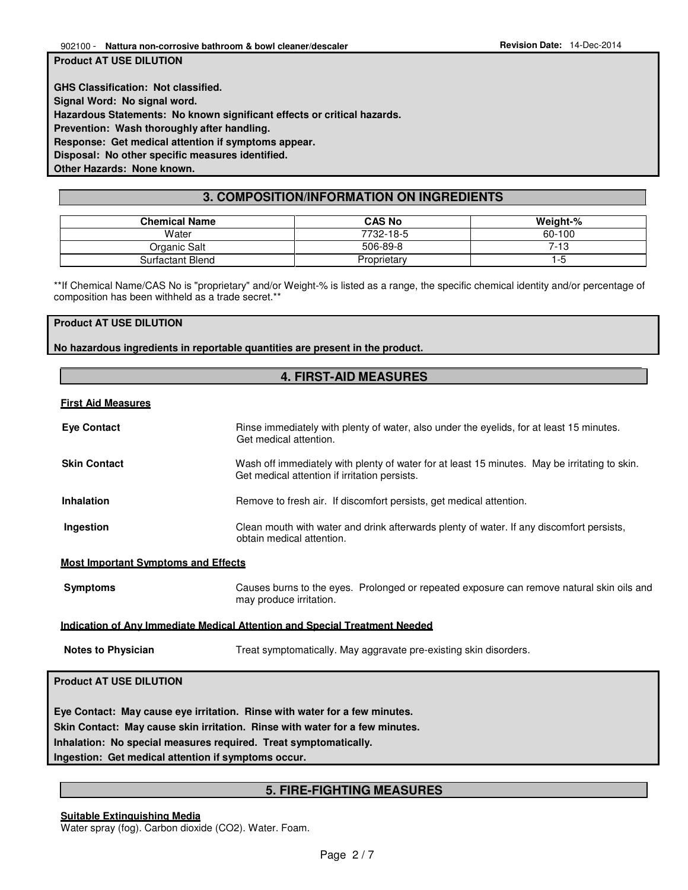**Product AT USE DILUTION** 

**GHS Classification: Not classified. Signal Word: No signal word. Hazardous Statements: No known significant effects or critical hazards. Prevention: Wash thoroughly after handling. Response: Get medical attention if symptoms appear. Disposal: No other specific measures identified. Other Hazards: None known.** 

# **3. COMPOSITION/INFORMATION ON INGREDIENTS**

| <b>Chemical Name</b> | <b>CAS No</b> | Weight-% |
|----------------------|---------------|----------|
| Water                | 7732-18-5     | 60-100   |
| Organic Salt         | 506-89-8      | 7-13     |
| Surfactant Blend     | Proprietary   | -5       |

\*\*If Chemical Name/CAS No is "proprietary" and/or Weight-% is listed as a range, the specific chemical identity and/or percentage of composition has been withheld as a trade secret.\*\*

### **Product AT USE DILUTION**

**No hazardous ingredients in reportable quantities are present in the product.**

# **4. FIRST-AID MEASURES**

### **First Aid Measures**

| <b>Eye Contact</b>                                                                                                                                                                                                                                                                    | Rinse immediately with plenty of water, also under the eyelids, for at least 15 minutes.<br>Get medical attention.                             |  |  |
|---------------------------------------------------------------------------------------------------------------------------------------------------------------------------------------------------------------------------------------------------------------------------------------|------------------------------------------------------------------------------------------------------------------------------------------------|--|--|
| <b>Skin Contact</b>                                                                                                                                                                                                                                                                   | Wash off immediately with plenty of water for at least 15 minutes. May be irritating to skin.<br>Get medical attention if irritation persists. |  |  |
| <b>Inhalation</b>                                                                                                                                                                                                                                                                     | Remove to fresh air. If discomfort persists, get medical attention.                                                                            |  |  |
| Ingestion                                                                                                                                                                                                                                                                             | Clean mouth with water and drink afterwards plenty of water. If any discomfort persists,<br>obtain medical attention.                          |  |  |
| <b>Most Important Symptoms and Effects</b>                                                                                                                                                                                                                                            |                                                                                                                                                |  |  |
| <b>Symptoms</b>                                                                                                                                                                                                                                                                       | Causes burns to the eyes. Prolonged or repeated exposure can remove natural skin oils and<br>may produce irritation.                           |  |  |
|                                                                                                                                                                                                                                                                                       | <b>Indication of Any Immediate Medical Attention and Special Treatment Needed</b>                                                              |  |  |
| <b>Notes to Physician</b><br>Treat symptomatically. May aggravate pre-existing skin disorders.                                                                                                                                                                                        |                                                                                                                                                |  |  |
| <b>Product AT USE DILUTION</b>                                                                                                                                                                                                                                                        |                                                                                                                                                |  |  |
| Eye Contact: May cause eye irritation. Rinse with water for a few minutes.<br>Skin Contact: May cause skin irritation. Rinse with water for a few minutes.<br>Inhalation: No special measures required. Treat symptomatically.<br>Ingestion: Get medical attention if symptoms occur. |                                                                                                                                                |  |  |

# **5. FIRE-FIGHTING MEASURES**

**Suitable Extinguishing Media** Water spray (fog). Carbon dioxide (CO2). Water. Foam.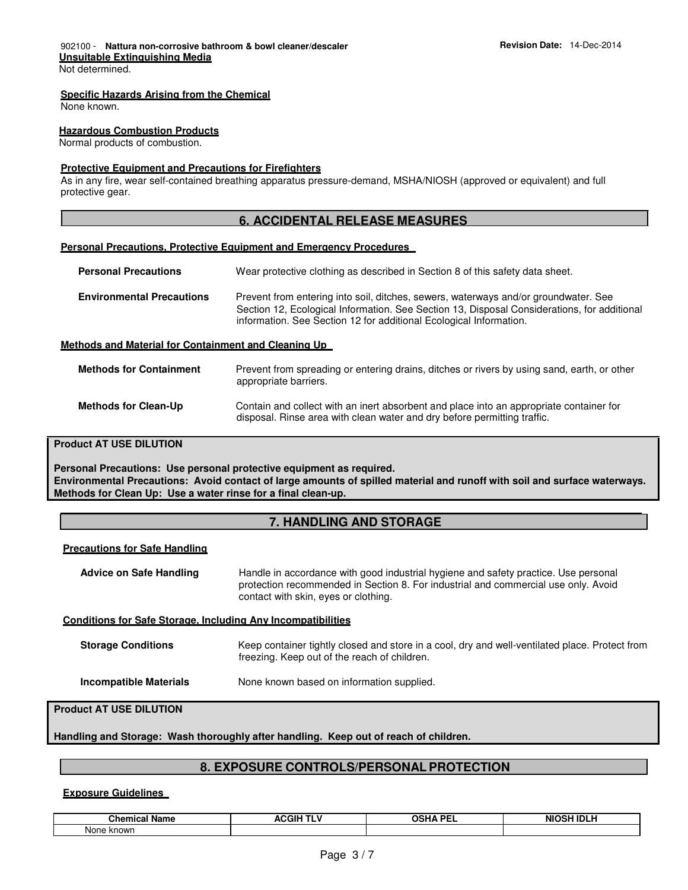### **Specific Hazards Arising from the Chemical**

None known.

### **Hazardous Combustion Products**

Normal products of combustion.

### **Protective Equipment and Precautions for Firefighters**

As in any fire, wear self-contained breathing apparatus pressure-demand, MSHA/NIOSH (approved or equivalent) and full protective gear.

### **6. ACCIDENTAL RELEASE MEASURES**

### **Personal Precautions, Protective Equipment and Emergency Procedures**

| <b>Personal Precautions</b>                          | Wear protective clothing as described in Section 8 of this safety data sheet.                                                                                                                                                                            |
|------------------------------------------------------|----------------------------------------------------------------------------------------------------------------------------------------------------------------------------------------------------------------------------------------------------------|
| <b>Environmental Precautions</b>                     | Prevent from entering into soil, ditches, sewers, waterways and/or groundwater. See<br>Section 12, Ecological Information. See Section 13, Disposal Considerations, for additional<br>information. See Section 12 for additional Ecological Information. |
| Methods and Material for Containment and Cleaning Up |                                                                                                                                                                                                                                                          |
| <b>Methods for Containment</b>                       | Prevent from spreading or entering drains, ditches or rivers by using sand, earth, or other                                                                                                                                                              |

|                             | appropriate barriers.                                                                                                                                               |
|-----------------------------|---------------------------------------------------------------------------------------------------------------------------------------------------------------------|
| <b>Methods for Clean-Up</b> | Contain and collect with an inert absorbent and place into an appropriate container for<br>disposal. Rinse area with clean water and dry before permitting traffic. |

### **Product AT USE DILUTION**

**Personal Precautions: Use personal protective equipment as required. Environmental Precautions: Avoid contact of large amounts of spilled material and runoff with soil and surface waterways. Methods for Clean Up: Use a water rinse for a final clean-up.**

# **7. HANDLING AND STORAGE**

| <b>Advice on Safe Handling</b>                                      | Handle in accordance with good industrial hygiene and safety practice. Use personal<br>protection recommended in Section 8. For industrial and commercial use only. Avoid<br>contact with skin, eyes or clothing. |  |
|---------------------------------------------------------------------|-------------------------------------------------------------------------------------------------------------------------------------------------------------------------------------------------------------------|--|
| <b>Conditions for Safe Storage, Including Any Incompatibilities</b> |                                                                                                                                                                                                                   |  |
| <b>Storage Conditions</b>                                           | Keep container tightly closed and store in a cool, dry and well-ventilated place. Protect from<br>freezing. Keep out of the reach of children.                                                                    |  |
| <b>Incompatible Materials</b>                                       | None known based on information supplied.                                                                                                                                                                         |  |

### **Product AT USE DILUTION**

**Handling and Storage: Wash thoroughly after handling. Keep out of reach of children.** 

# **8. EXPOSURE CONTROLS/PERSONAL PROTECTION**

### **Exposure Guidelines**

| --            | ---  | <b>DE</b> | $-1111$    |
|---------------|------|-----------|------------|
| Chem⊪         | .ill | ∩รµ∆      | .          |
| . .dille      | ACC  | . .       | <b>NIC</b> |
| -91           | ___  |           | ÷т         |
| ______        |      | ___       | ____       |
| None<br>known |      |           |            |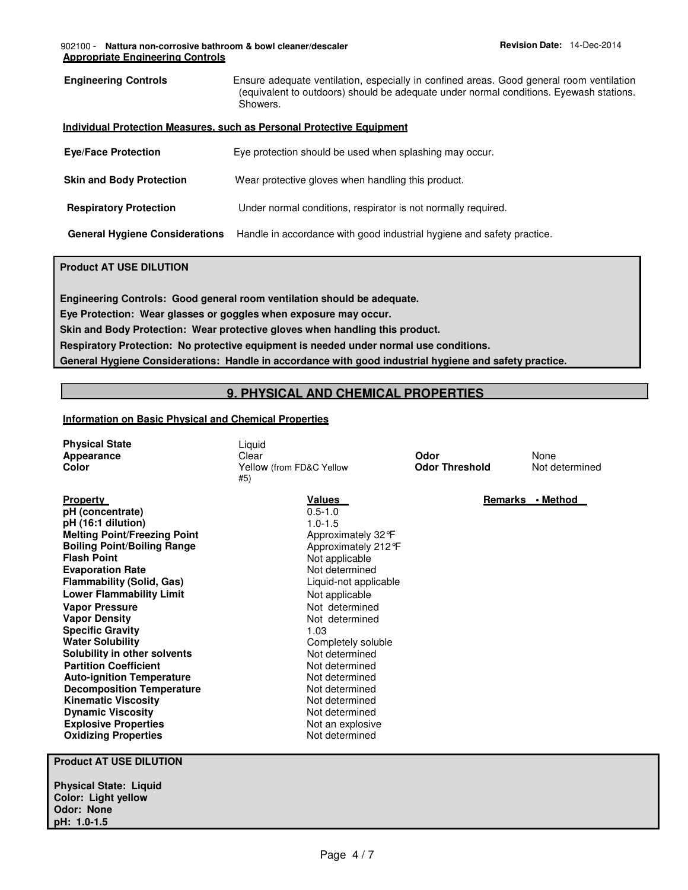### 902100 - **Nattura non-corrosive bathroom & bowl cleaner/descaler Revision Date:** 14-Dec-2014 **Appropriate Engineering Controls**

| <b>Engineering Controls</b>                                                                                     | Ensure adequate ventilation, especially in confined areas. Good general room ventilation<br>(equivalent to outdoors) should be adequate under normal conditions. Eyewash stations.<br>Showers. |  |
|-----------------------------------------------------------------------------------------------------------------|------------------------------------------------------------------------------------------------------------------------------------------------------------------------------------------------|--|
|                                                                                                                 | Individual Protection Measures, such as Personal Protective Equipment                                                                                                                          |  |
| <b>Eye/Face Protection</b>                                                                                      | Eye protection should be used when splashing may occur.                                                                                                                                        |  |
| <b>Skin and Body Protection</b>                                                                                 | Wear protective gloves when handling this product.                                                                                                                                             |  |
| <b>Respiratory Protection</b>                                                                                   | Under normal conditions, respirator is not normally required.                                                                                                                                  |  |
| Handle in accordance with good industrial hygiene and safety practice.<br><b>General Hygiene Considerations</b> |                                                                                                                                                                                                |  |

# **Product AT USE DILUTION**

**Engineering Controls: Good general room ventilation should be adequate.** 

**Eye Protection: Wear glasses or goggles when exposure may occur.** 

**Skin and Body Protection: Wear protective gloves when handling this product.** 

**Respiratory Protection: No protective equipment is needed under normal use conditions.** 

**General Hygiene Considerations: Handle in accordance with good industrial hygiene and safety practice.**

# **9. PHYSICAL AND CHEMICAL PROPERTIES**

# **Information on Basic Physical and Chemical Properties**

| <b>Physical State</b> | ∟iquid                   |                       |                |
|-----------------------|--------------------------|-----------------------|----------------|
| Appearance            | Clear                    | Odor                  | None           |
| Color                 | Yellow (from FD&C Yellow | <b>Odor Threshold</b> | Not determined |
|                       | #5`                      |                       |                |

**Values**  0.5-1.0 1.0-1.5

Approximately 32°F Approximately 212°F Not applicable Not determined Liquid-not applicable Not applicable

Not determined Not determined

Completely soluble Not determined

1.03

**Property pH (concentrate) pH (16:1 dilution) Melting Point/Freezing Point Boiling Point/Boiling Range Lower Flammability Limit** Not applicable **Solubility in other solvents Partition Coefficient Not determined Auto-ignition Temperature Not determined Decomposition Temperature Not determined Kinematic Viscosity**<br> **Dynamic Viscosity**<br> **Not determined**<br>
Not determined **Dynamic Viscosity**<br> **Explosive Properties**<br>
Not an explosive **Explosive Properties Oxidizing Properties** Not determined

#5)

**Remarks • Method** 

**Flash Point Evaporation Rate Flammability (Solid, Gas) Vapor Pressure Vapor Density Specific Gravity Water Solubility**

**Product AT USE DILUTION** 

**Physical State: Liquid Color: Light yellow Odor: None pH: 1.0-1.5**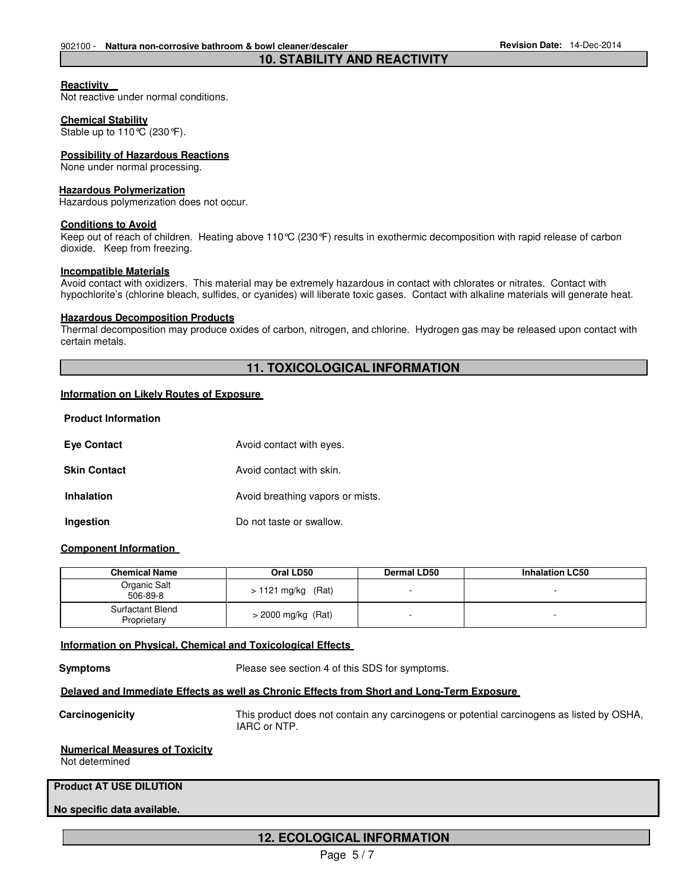### **Reactivity**

Not reactive under normal conditions.

### **Chemical Stability**

Stable up to 110°C (230°F).

### **Possibility of Hazardous Reactions**

None under normal processing.

### **Hazardous Polymerization**

Hazardous polymerization does not occur.

### **Conditions to Avoid**

Keep out of reach of children. Heating above 110°C (230°F) results in exothermic decomposition with rapid release of carbon dioxide. Keep from freezing.

**10. STABILITY AND REACTIVITY**

### **Incompatible Materials**

Avoid contact with oxidizers. This material may be extremely hazardous in contact with chlorates or nitrates. Contact with hypochlorite's (chlorine bleach, sulfides, or cyanides) will liberate toxic gases. Contact with alkaline materials will generate heat.

### **Hazardous Decomposition Products**

Thermal decomposition may produce oxides of carbon, nitrogen, and chlorine. Hydrogen gas may be released upon contact with certain metals.

### **11. TOXICOLOGICAL INFORMATION**

### **Information on Likely Routes of Exposure**

|  | <b>Product Information</b> |  |
|--|----------------------------|--|
|--|----------------------------|--|

| <b>Eye Contact</b>  | Avoid contact with eyes.         |
|---------------------|----------------------------------|
| <b>Skin Contact</b> | Avoid contact with skin.         |
| <b>Inhalation</b>   | Avoid breathing vapors or mists. |
| Ingestion           | Do not taste or swallow.         |

### **Component Information**

| <b>Chemical Name</b>            | Oral LD50            | <b>Dermal LD50</b> | <b>Inhalation LC50</b> |
|---------------------------------|----------------------|--------------------|------------------------|
| Organic Salt<br>506-89-8        | $> 1121$ mg/kg (Rat) |                    |                        |
| Surfactant Blend<br>Proprietary | $>$ 2000 mg/kg (Rat) |                    |                        |

### **Information on Physical, Chemical and Toxicological Effects**

**Symptoms** Please see section 4 of this SDS for symptoms.

### **Delayed and Immediate Effects as well as Chronic Effects from Short and Long-Term Exposure**

**Carcinogenicity** This product does not contain any carcinogens or potential carcinogens as listed by OSHA, IARC or NTP.

### **Numerical Measures of Toxicity**

Not determined

# **Product AT USE DILUTION**

### **No specific data available.**

### **12. ECOLOGICAL INFORMATION**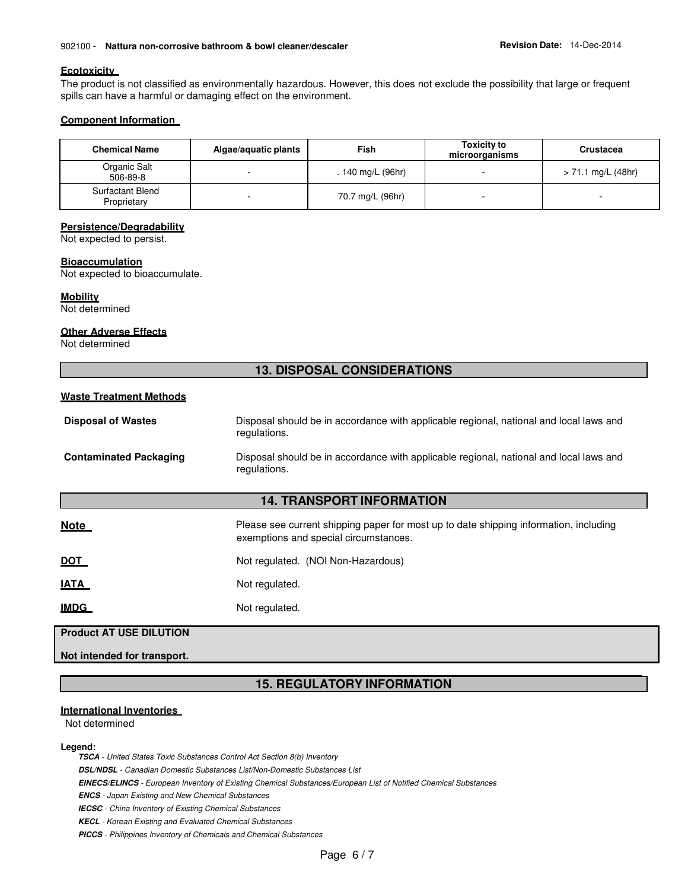### 902100 - Nattura non-corrosive bathroom & bowl cleaner/descaler **Revision Date: 14-Dec-2014**

### **Ecotoxicity**

The product is not classified as environmentally hazardous. However, this does not exclude the possibility that large or frequent spills can have a harmful or damaging effect on the environment.

### **Component Information**

| <b>Chemical Name</b>            | Algae/aquatic plants | Fish              | <b>Toxicity to</b><br>microorganisms | <b>Crustacea</b>   |
|---------------------------------|----------------------|-------------------|--------------------------------------|--------------------|
| Organic Salt<br>506-89-8        |                      | . 140 mg/L (96hr) |                                      | > 71.1 mg/L (48hr) |
| Surfactant Blend<br>Proprietary |                      | 70.7 mg/L (96hr)  |                                      |                    |

### **Persistence/Degradability**

Not expected to persist.

### **Bioaccumulation**

Not expected to bioaccumulate.

# **Mobility**

Not determined

### **Other Adverse Effects**

Not determined

# **13. DISPOSAL CONSIDERATIONS**

# **Waste Treatment Methods**

| <b>Disposal of Wastes</b> | Disposal should be in accordance with applicable regional, national and local laws and |
|---------------------------|----------------------------------------------------------------------------------------|
|                           | regulations.                                                                           |
|                           |                                                                                        |

**Contaminated Packaging** Disposal should be in accordance with applicable regional, national and local laws and regulations.

# **14. TRANSPORT INFORMATION**

**Note Please see current shipping paper for most up to date shipping information, including vertically payment of the shipping information, including** exemptions and special circumstances.

| <b>DOT</b> | Not regulated. (NOI Non-Hazardous) |  |
|------------|------------------------------------|--|
|------------|------------------------------------|--|

**IATA** Not regulated.

**IMDG** Not regulated.

# **Product AT USE DILUTION**

**Not intended for transport.** 

# **15. REGULATORY INFORMATION**

### **International Inventories**

Not determined

### **Legend:**

**TSCA** - United States Toxic Substances Control Act Section 8(b) Inventory

**ENCS** - Japan Existing and New Chemical Substances

**IECSC** - China Inventory of Existing Chemical Substances

**KECL** - Korean Existing and Evaluated Chemical Substances

**PICCS** - Philippines Inventory of Chemicals and Chemical Substances

**DSL/NDSL** - Canadian Domestic Substances List/Non-Domestic Substances List

**EINECS/ELINCS** - European Inventory of Existing Chemical Substances/European List of Notified Chemical Substances